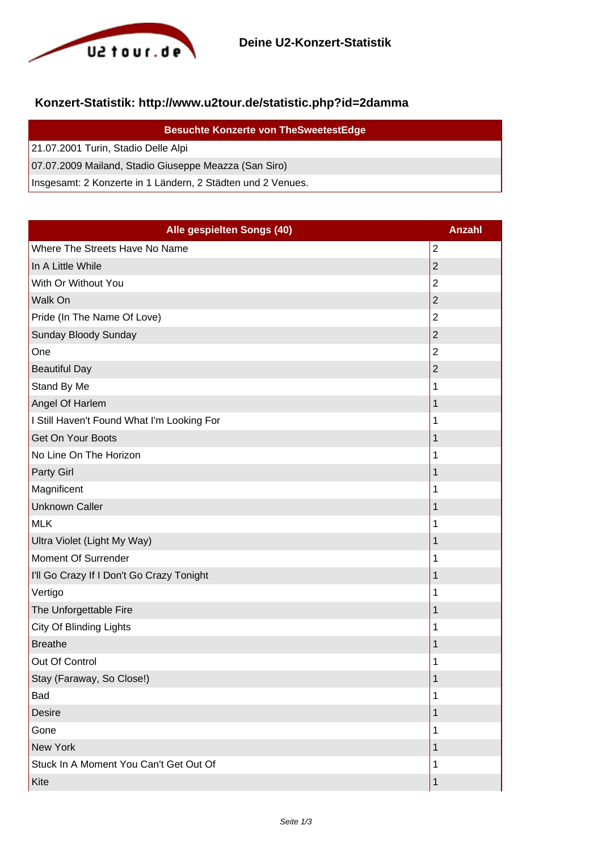

## **Konzert-Statistik: http://www.u2tour.de/statistic.php?id=2damma**

| <b>Besuchte Konzerte von TheSweetestEdge</b>                |
|-------------------------------------------------------------|
| 21.07.2001 Turin, Stadio Delle Alpi                         |
| 07.07.2009 Mailand, Stadio Giuseppe Meazza (San Siro)       |
| Insgesamt: 2 Konzerte in 1 Ländern, 2 Städten und 2 Venues. |

| Alle gespielten Songs (40)                 | <b>Anzahl</b>  |
|--------------------------------------------|----------------|
| Where The Streets Have No Name             | $\overline{2}$ |
| In A Little While                          | $\overline{2}$ |
| With Or Without You                        | $\overline{2}$ |
| Walk On                                    | $\overline{2}$ |
| Pride (In The Name Of Love)                | $\overline{2}$ |
| Sunday Bloody Sunday                       | $\overline{2}$ |
| One                                        | $\overline{2}$ |
| <b>Beautiful Day</b>                       | 2              |
| Stand By Me                                | 1              |
| Angel Of Harlem                            | 1              |
| I Still Haven't Found What I'm Looking For | 1              |
| Get On Your Boots                          | 1              |
| No Line On The Horizon                     | 1              |
| Party Girl                                 | 1              |
| Magnificent                                | 1              |
| <b>Unknown Caller</b>                      | 1              |
| <b>MLK</b>                                 | 1              |
| Ultra Violet (Light My Way)                | 1              |
| Moment Of Surrender                        | 1              |
| I'll Go Crazy If I Don't Go Crazy Tonight  | 1              |
| Vertigo                                    | 1              |
| The Unforgettable Fire                     | 1              |
| City Of Blinding Lights                    | 1              |
| <b>Breathe</b>                             | 1              |
| Out Of Control                             | 1              |
| Stay (Faraway, So Close!)                  | 1              |
| Bad                                        | 1              |
| <b>Desire</b>                              | 1              |
| Gone                                       | 1              |
| New York                                   | 1              |
| Stuck In A Moment You Can't Get Out Of     | 1              |
| Kite                                       | 1              |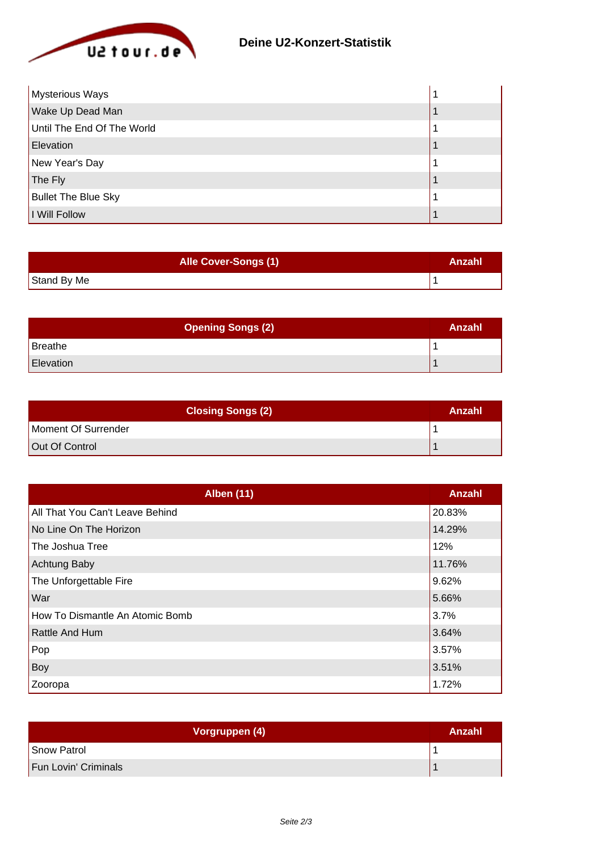

| Mysterious Ways            |  |
|----------------------------|--|
| Wake Up Dead Man           |  |
| Until The End Of The World |  |
| Elevation                  |  |
| New Year's Day             |  |
| The Fly                    |  |
| <b>Bullet The Blue Sky</b> |  |
| I Will Follow              |  |

| <b>Alle Cover-Songs (1)</b> | Anzahl |
|-----------------------------|--------|
| Stand By Me                 |        |

| <b>Opening Songs (2)</b> | Anzahl |
|--------------------------|--------|
| Breathe                  |        |
| Elevation                |        |

| <b>Closing Songs (2)</b> | Anzahl |
|--------------------------|--------|
| Moment Of Surrender      |        |
| Out Of Control           |        |

| <b>Alben (11)</b>               | Anzahl |
|---------------------------------|--------|
| All That You Can't Leave Behind | 20.83% |
| No Line On The Horizon          | 14.29% |
| The Joshua Tree                 | 12%    |
| <b>Achtung Baby</b>             | 11.76% |
| The Unforgettable Fire          | 9.62%  |
| War                             | 5.66%  |
| How To Dismantle An Atomic Bomb | 3.7%   |
| <b>Rattle And Hum</b>           | 3.64%  |
| Pop                             | 3.57%  |
| Boy                             | 3.51%  |
| Zooropa                         | 1.72%  |

| Vorgruppen (4)       | Anzahl |
|----------------------|--------|
| Snow Patrol          |        |
| Fun Lovin' Criminals |        |